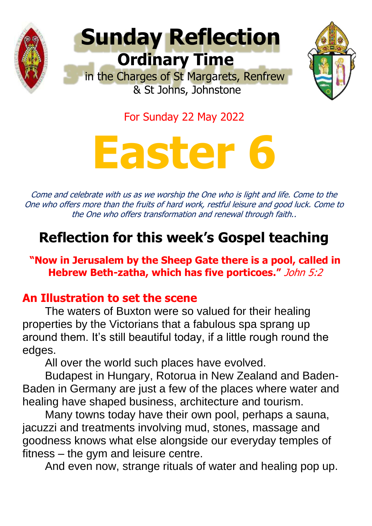



For Sunday 22 May 2022



Come and celebrate with us as we worship the One who is light and life. Come to the One who offers more than the fruits of hard work, restful leisure and good luck. Come to the One who offers transformation and renewal through faith..

# **Reflection for this week's Gospel teaching**

**"Now in Jerusalem by the Sheep Gate there is a pool, called in Hebrew Beth-zatha, which has five porticoes."** John 5:2

#### **An Illustration to set the scene**

The waters of Buxton were so valued for their healing properties by the Victorians that a fabulous spa sprang up around them. It's still beautiful today, if a little rough round the edges.

All over the world such places have evolved.

Budapest in Hungary, Rotorua in New Zealand and Baden-Baden in Germany are just a few of the places where water and healing have shaped business, architecture and tourism.

Many towns today have their own pool, perhaps a sauna, jacuzzi and treatments involving mud, stones, massage and goodness knows what else alongside our everyday temples of fitness – the gym and leisure centre.

And even now, strange rituals of water and healing pop up.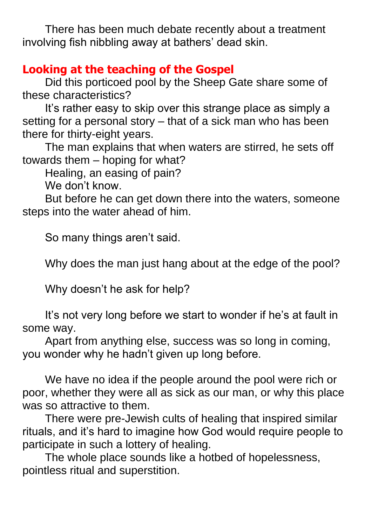There has been much debate recently about a treatment involving fish nibbling away at bathers' dead skin.

### **Looking at the teaching of the Gospel**

Did this porticoed pool by the Sheep Gate share some of these characteristics?

It's rather easy to skip over this strange place as simply a setting for a personal story – that of a sick man who has been there for thirty-eight years.

The man explains that when waters are stirred, he sets off towards them – hoping for what?

Healing, an easing of pain?

We don't know.

But before he can get down there into the waters, someone steps into the water ahead of him.

So many things aren't said.

Why does the man just hang about at the edge of the pool?

Why doesn't he ask for help?

It's not very long before we start to wonder if he's at fault in some way.

Apart from anything else, success was so long in coming, you wonder why he hadn't given up long before.

We have no idea if the people around the pool were rich or poor, whether they were all as sick as our man, or why this place was so attractive to them.

There were pre-Jewish cults of healing that inspired similar rituals, and it's hard to imagine how God would require people to participate in such a lottery of healing.

The whole place sounds like a hotbed of hopelessness, pointless ritual and superstition.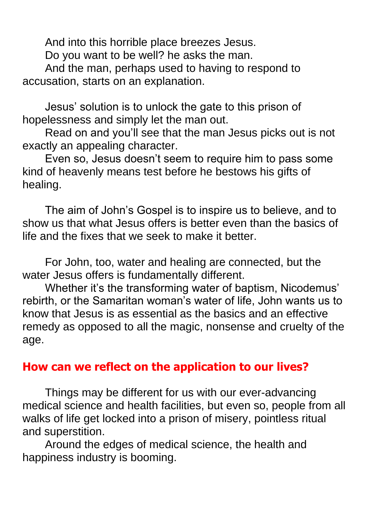And into this horrible place breezes Jesus.

Do you want to be well? he asks the man.

And the man, perhaps used to having to respond to accusation, starts on an explanation.

Jesus' solution is to unlock the gate to this prison of hopelessness and simply let the man out.

Read on and you'll see that the man Jesus picks out is not exactly an appealing character.

Even so, Jesus doesn't seem to require him to pass some kind of heavenly means test before he bestows his gifts of healing.

The aim of John's Gospel is to inspire us to believe, and to show us that what Jesus offers is better even than the basics of life and the fixes that we seek to make it better.

For John, too, water and healing are connected, but the water Jesus offers is fundamentally different.

Whether it's the transforming water of baptism, Nicodemus' rebirth, or the Samaritan woman's water of life, John wants us to know that Jesus is as essential as the basics and an effective remedy as opposed to all the magic, nonsense and cruelty of the age.

## **How can we reflect on the application to our lives?**

Things may be different for us with our ever-advancing medical science and health facilities, but even so, people from all walks of life get locked into a prison of misery, pointless ritual and superstition.

Around the edges of medical science, the health and happiness industry is booming.